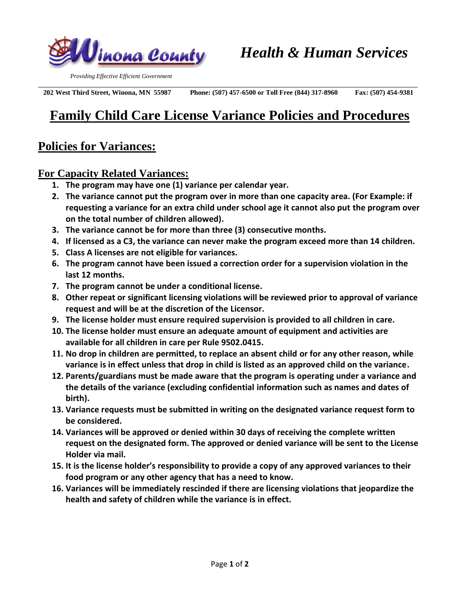

 *Providing Effective Efficient Government*

 **202 West Third Street, Winona, MN 55987 Phone: (507) 457-6500 or Toll Free (844) 317-8960 Fax: (507) 454-9381** 

## **Family Child Care License Variance Policies and Procedures**

## **Policies for Variances:**

## **For Capacity Related Variances:**

- **1. The program may have one (1) variance per calendar year.**
- **2. The variance cannot put the program over in more than one capacity area. (For Example: if requesting a variance for an extra child under school age it cannot also put the program over on the total number of children allowed).**
- **3. The variance cannot be for more than three (3) consecutive months.**
- **4. If licensed as a C3, the variance can never make the program exceed more than 14 children.**
- **5. Class A licenses are not eligible for variances.**
- **6. The program cannot have been issued a correction order for a supervision violation in the last 12 months.**
- **7. The program cannot be under a conditional license.**
- **8. Other repeat or significant licensing violations will be reviewed prior to approval of variance request and will be at the discretion of the Licensor.**
- **9. The license holder must ensure required supervision is provided to all children in care.**
- **10. The license holder must ensure an adequate amount of equipment and activities are available for all children in care per Rule 9502.0415.**
- **11. No drop in children are permitted, to replace an absent child or for any other reason, while variance is in effect unless that drop in child is listed as an approved child on the variance.**
- **12. Parents/guardians must be made aware that the program is operating under a variance and the details of the variance (excluding confidential information such as names and dates of birth).**
- **13. Variance requests must be submitted in writing on the designated variance request form to be considered.**
- **14. Variances will be approved or denied within 30 days of receiving the complete written request on the designated form. The approved or denied variance will be sent to the License Holder via mail.**
- **15. It is the license holder's responsibility to provide a copy of any approved variances to their food program or any other agency that has a need to know.**
- **16. Variances will be immediately rescinded if there are licensing violations that jeopardize the health and safety of children while the variance is in effect.**